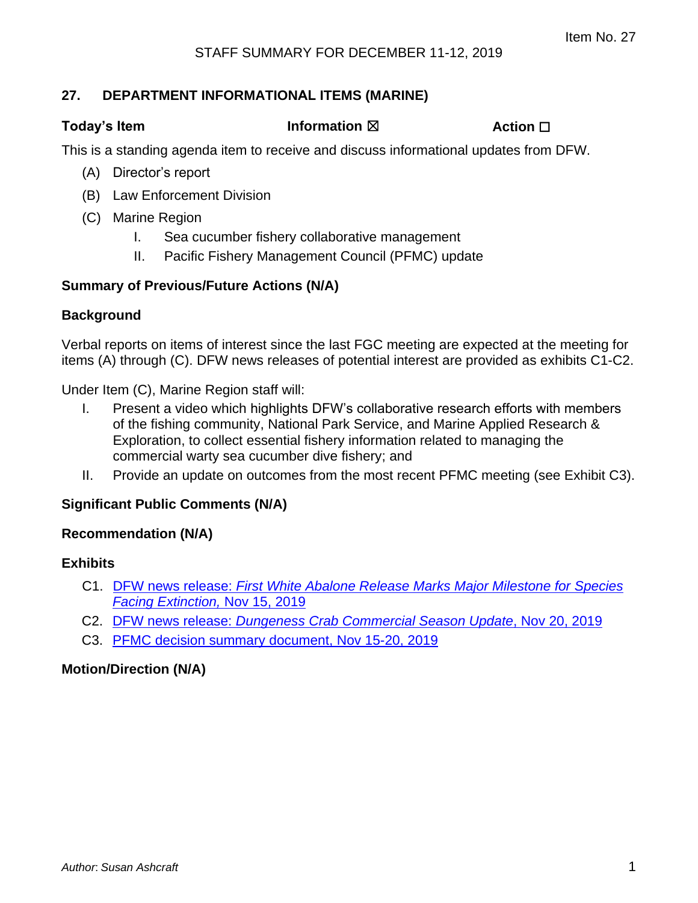### **27. DEPARTMENT INFORMATIONAL ITEMS (MARINE)**

**Today's Item Information** ⊠ **Action □** 

This is a standing agenda item to receive and discuss informational updates from DFW.

- (A) Director's report
- (B) Law Enforcement Division
- (C) Marine Region
	- I. Sea cucumber fishery collaborative management
	- II. Pacific Fishery Management Council (PFMC) update

### **Summary of Previous/Future Actions (N/A)**

### **Background**

Verbal reports on items of interest since the last FGC meeting are expected at the meeting for items (A) through (C). DFW news releases of potential interest are provided as exhibits C1-C2.

Under Item (C), Marine Region staff will:

- I. Present a video which highlights DFW's collaborative research efforts with members of the fishing community, National Park Service, and Marine Applied Research & Exploration, to collect essential fishery information related to managing the commercial warty sea cucumber dive fishery; and
- II. Provide an update on outcomes from the most recent PFMC meeting (see Exhibit C3).

### **Significant Public Comments (N/A)**

### **Recommendation (N/A)**

### **Exhibits**

- C1. DFW news release: *[First White Abalone Release Marks Major Milestone for Species](#page-1-0) [Facing Extinction,](#page-1-0)* Nov 15, 2019
- C2. DFW news release: *[Dungeness Crab Commercial Season Update](#page-3-0)*, Nov 20, 2019
- C3. [PFMC decision summary document, Nov 15-20,](#page-5-0) 2019

### **Motion/Direction (N/A)**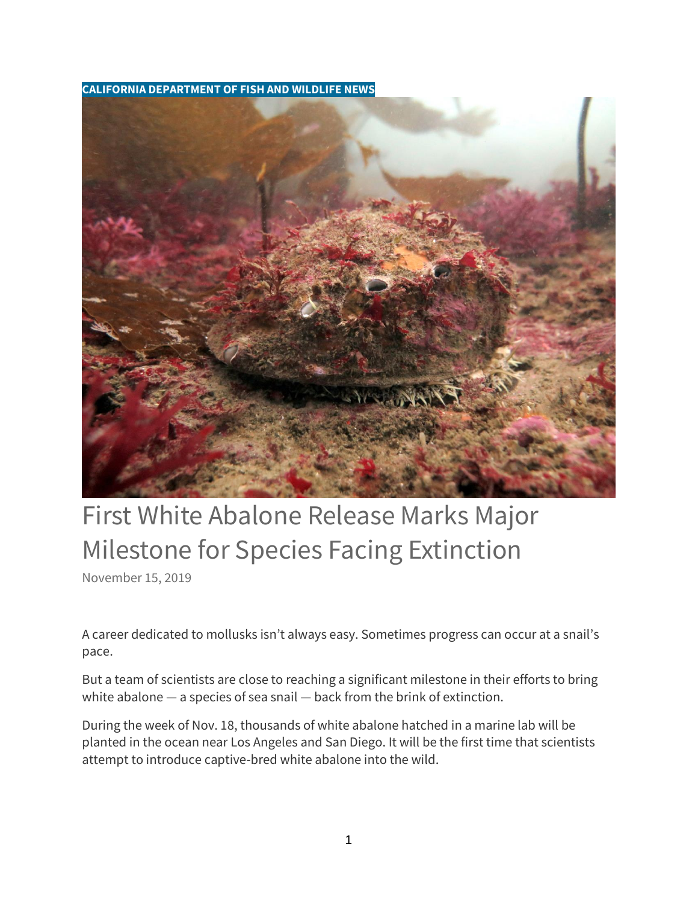<span id="page-1-0"></span>**CALIFORNIA DEPARTMENT OF FISH AND WILDLIFE NEWS**



# First White Abalone Release Marks Major Milestone for Species Facing Extinction

[November 15, 2019](https://cdfgnews.wordpress.com/2019/11/15/first-white-abalone-release-marks-major-milestone-for-species-facing-extinction/)

A career dedicated to mollusks isn't always easy. Sometimes progress can occur at a snail's pace.

But a team of scientists are close to reaching a significant milestone in their efforts to bring white abalone — a species of sea snail — back from the brink of extinction.

During the week of Nov. 18, thousands of white abalone hatched in a marine lab will be planted in the ocean near Los Angeles and San Diego. It will be the first time that scientists attempt to introduce captive-bred white abalone into the wild.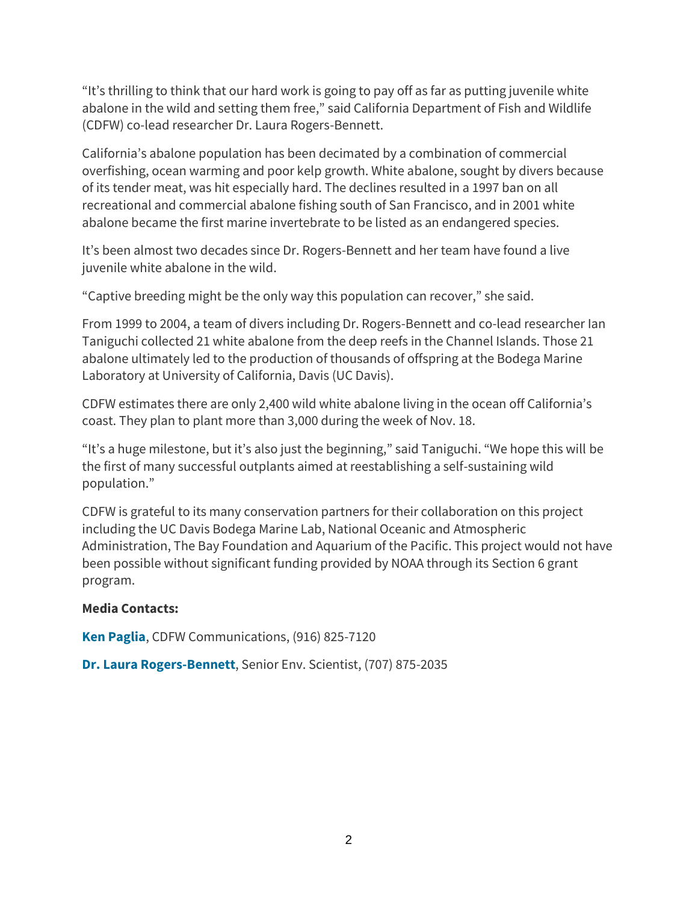"It's thrilling to think that our hard work is going to pay off as far as putting juvenile white abalone in the wild and setting them free," said California Department of Fish and Wildlife (CDFW) co-lead researcher Dr. Laura Rogers-Bennett.

California's abalone population has been decimated by a combination of commercial overfishing, ocean warming and poor kelp growth. White abalone, sought by divers because of its tender meat, was hit especially hard. The declines resulted in a 1997 ban on all recreational and commercial abalone fishing south of San Francisco, and in 2001 white abalone became the first marine invertebrate to be listed as an endangered species.

It's been almost two decades since Dr. Rogers-Bennett and her team have found a live juvenile white abalone in the wild.

"Captive breeding might be the only way this population can recover," she said.

From 1999 to 2004, a team of divers including Dr. Rogers-Bennett and co-lead researcher Ian Taniguchi collected 21 white abalone from the deep reefs in the Channel Islands. Those 21 abalone ultimately led to the production of thousands of offspring at the Bodega Marine Laboratory at University of California, Davis (UC Davis).

CDFW estimates there are only 2,400 wild white abalone living in the ocean off California's coast. They plan to plant more than 3,000 during the week of Nov. 18.

"It's a huge milestone, but it's also just the beginning," said Taniguchi. "We hope this will be the first of many successful outplants aimed at reestablishing a self-sustaining wild population."

CDFW is grateful to its many conservation partners for their collaboration on this project including the UC Davis Bodega Marine Lab, National Oceanic and Atmospheric Administration, The Bay Foundation and Aquarium of the Pacific. This project would not have been possible without significant funding provided by NOAA through its Section 6 grant program.

### **Media Contacts:**

**[Ken Paglia](mailto:Ken.Paglia@wildlife.ca.gov)**, CDFW Communications, (916) 825-7120

**[Dr. Laura Rogers-Bennett](mailto:Laura.Rogers-Bennett@wildlife.ca.gov)**, Senior Env. Scientist, (707) 875-2035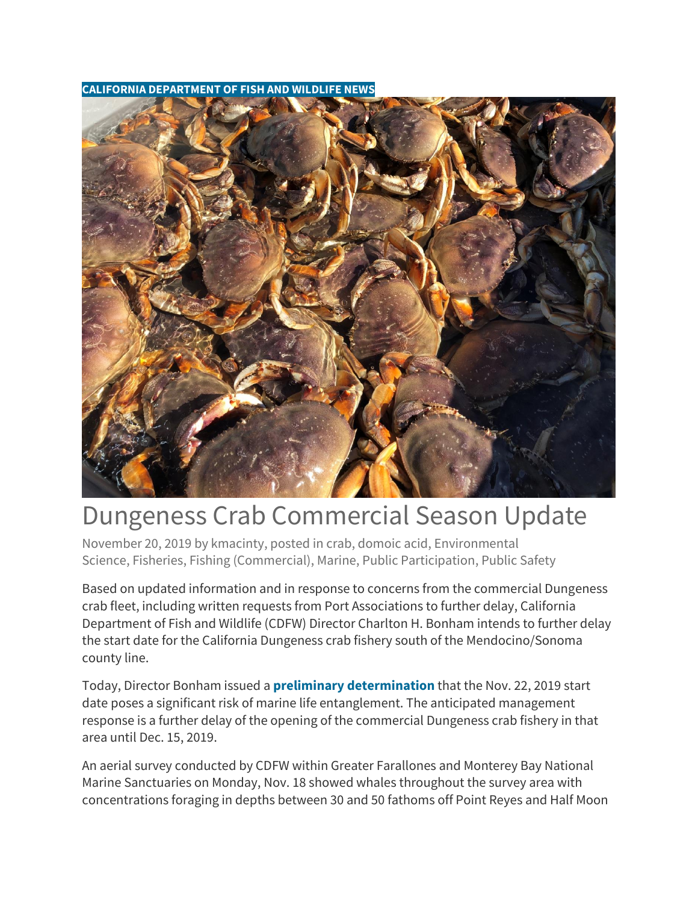#### <span id="page-3-0"></span>**CALIFORNIA DEPARTMENT OF FISH AND WILDLIFE NEWS**



# Dungeness Crab Commercial Season Update

[November 20, 2019](https://cdfgnews.wordpress.com/2019/11/20/dungeness-crab-commercial-season-update/) by [kmacinty,](https://cdfgnews.wordpress.com/author/kmacinty/) posted in [crab,](https://cdfgnews.wordpress.com/category/crab/) [domoic acid,](https://cdfgnews.wordpress.com/category/domoic-acid/) [Environmental](https://cdfgnews.wordpress.com/category/environmental-science/)  [Science,](https://cdfgnews.wordpress.com/category/environmental-science/) [Fisheries,](https://cdfgnews.wordpress.com/category/fisheries-2/) [Fishing \(Commercial\),](https://cdfgnews.wordpress.com/category/fishing-commercial/) [Marine,](https://cdfgnews.wordpress.com/category/marine/) [Public Participation,](https://cdfgnews.wordpress.com/category/public-participation/) [Public Safety](https://cdfgnews.wordpress.com/category/public-safety/)

Based on updated information and in response to concerns from the commercial Dungeness crab fleet, including written requests from Port Associations to further delay, California Department of Fish and Wildlife (CDFW) Director Charlton H. Bonham intends to further delay the start date for the California Dungeness crab fishery south of the Mendocino/Sonoma county line.

Today, Director Bonham issued a **[preliminary determination](https://nrm.dfg.ca.gov/FileHandler.ashx?DocumentID=175182&inline)** that the Nov. 22, 2019 start date poses a significant risk of marine life entanglement. The anticipated management response is a further delay of the opening of the commercial Dungeness crab fishery in that area until Dec. 15, 2019.

An aerial survey conducted by CDFW within Greater Farallones and Monterey Bay National Marine Sanctuaries on Monday, Nov. 18 showed whales throughout the survey area with concentrations foraging in depths between 30 and 50 fathoms off Point Reyes and Half Moon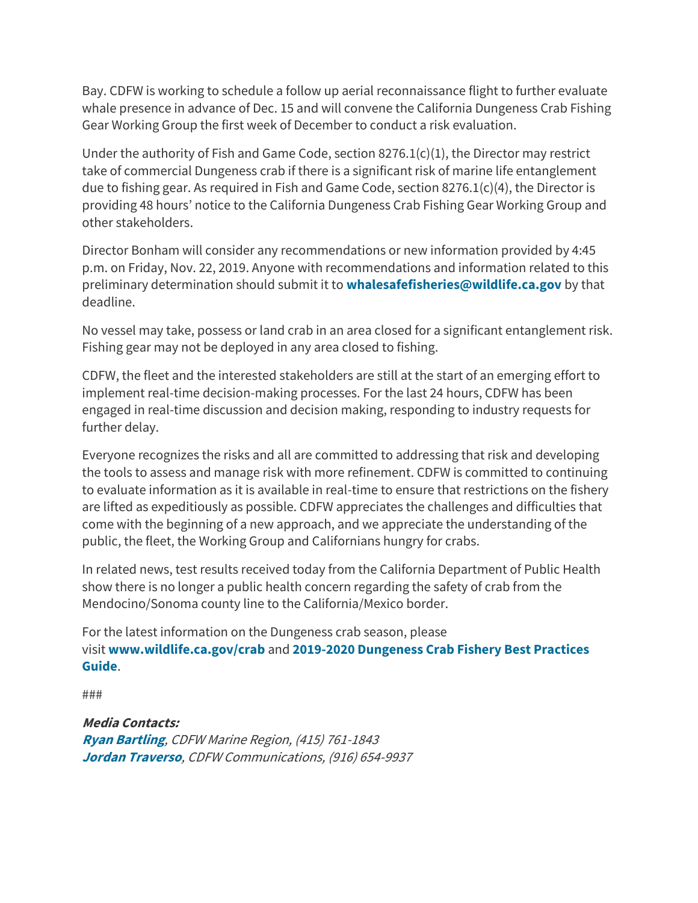Bay. CDFW is working to schedule a follow up aerial reconnaissance flight to further evaluate whale presence in advance of Dec. 15 and will convene the California Dungeness Crab Fishing Gear Working Group the first week of December to conduct a risk evaluation.

Under the authority of Fish and Game Code, section  $8276.1(c)(1)$ , the Director may restrict take of commercial Dungeness crab if there is a significant risk of marine life entanglement due to fishing gear. As required in Fish and Game Code, section 8276.1(c)(4), the Director is providing 48 hours' notice to the California Dungeness Crab Fishing Gear Working Group and other stakeholders.

Director Bonham will consider any recommendations or new information provided by 4:45 p.m. on Friday, Nov. 22, 2019. Anyone with recommendations and information related to this preliminary determination should submit it to **[whalesafefisheries@wildlife.ca.gov](mailto:whalesafefisheries@wildlife.ca.gov)** by that deadline.

No vessel may take, possess or land crab in an area closed for a significant entanglement risk. Fishing gear may not be deployed in any area closed to fishing.

CDFW, the fleet and the interested stakeholders are still at the start of an emerging effort to implement real-time decision-making processes. For the last 24 hours, CDFW has been engaged in real-time discussion and decision making, responding to industry requests for further delay.

Everyone recognizes the risks and all are committed to addressing that risk and developing the tools to assess and manage risk with more refinement. CDFW is committed to continuing to evaluate information as it is available in real-time to ensure that restrictions on the fishery are lifted as expeditiously as possible. CDFW appreciates the challenges and difficulties that come with the beginning of a new approach, and we appreciate the understanding of the public, the fleet, the Working Group and Californians hungry for crabs.

In related news, test results received today from the California Department of Public Health show there is no longer a public health concern regarding the safety of crab from the Mendocino/Sonoma county line to the California/Mexico border.

For the latest information on the Dungeness crab season, please visit **[www.wildlife.ca.gov/crab](http://www.wildlife.ca.gov/crab)** and **[2019-2020 Dungeness Crab Fishery Best Practices](https://gcc01.safelinks.protection.outlook.com/?url=http%3A%2F%2Fwww.opc.ca.gov%2Fwebmaster%2F_media_library%2F2019%2F11%2F2019-20_BPG_Final.pdf&data=02%7C01%7CKirsten.Macintyre%40wildlife.ca.gov%7C0cf0eb4d7862477b891408d76e1be62e%7C4b633c25efbf40069f1507442ba7aa0b%7C0%7C0%7C637098938539968353&sdata=DaX1M%2B7RuGkqj%2FvzJFPoqJMkVdPoYHKJKOYL5b80TH4%3D&reserved=0)  [Guide](https://gcc01.safelinks.protection.outlook.com/?url=http%3A%2F%2Fwww.opc.ca.gov%2Fwebmaster%2F_media_library%2F2019%2F11%2F2019-20_BPG_Final.pdf&data=02%7C01%7CKirsten.Macintyre%40wildlife.ca.gov%7C0cf0eb4d7862477b891408d76e1be62e%7C4b633c25efbf40069f1507442ba7aa0b%7C0%7C0%7C637098938539968353&sdata=DaX1M%2B7RuGkqj%2FvzJFPoqJMkVdPoYHKJKOYL5b80TH4%3D&reserved=0)**.

###

**Media Contacts:**

**[Ryan Bartling](mailto:ryan.bartling@wildlife.ca.gov)**, CDFW Marine Region, (415) 761-1843 **[Jordan Traverso](mailto:jordan.traverso@wildlife.ca.gov)**, CDFW Communications, (916) 654-9937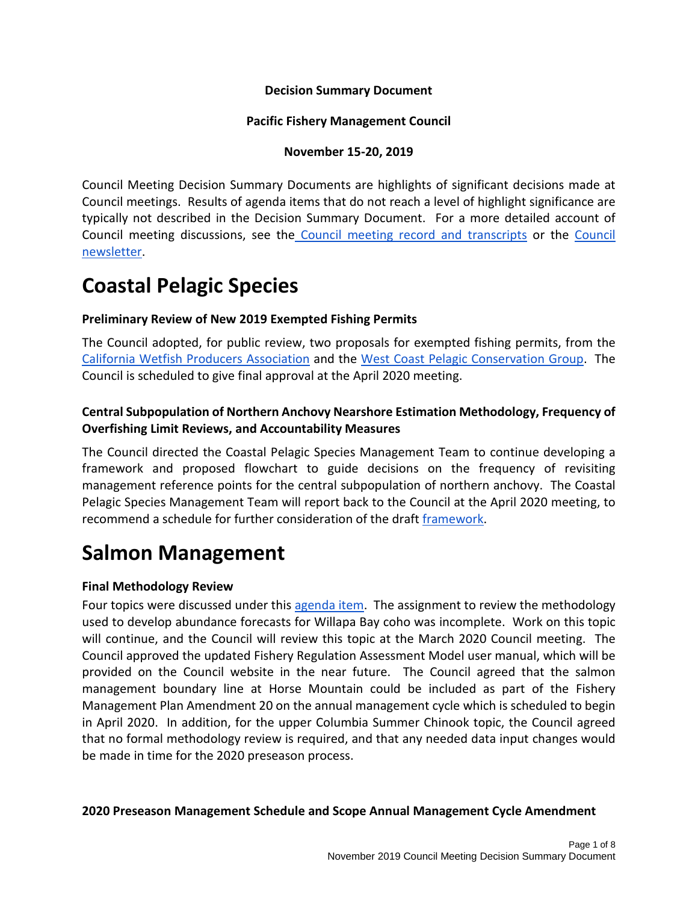#### **Decision Summary Document**

#### **Pacific Fishery Management Council**

#### **November 15-20, 2019**

<span id="page-5-0"></span>Council Meeting Decision Summary Documents are highlights of significant decisions made at Council meetings. Results of agenda items that do not reach a level of highlight significance are typically not described in the Decision Summary Document. For a more detailed account of Council meeting discussions, see the Council meeting record and transcripts or the Council newsletter.

### **Coastal Pelagic Species**

### **Preliminary Review of New 2019 Exempted Fishing Permits**

The Council adopted, for public review, two proposals for exempted fishing permits, from the California Wetfish Producers Association and the West Coast Pelagic Conservation Group. The Council is scheduled to give final approval at the April 2020 meeting.

### **Central Subpopulation of Northern Anchovy Nearshore Estimation Methodology, Frequency of Overfishing Limit Reviews, and Accountability Measures**

The Council directed the Coastal Pelagic Species Management Team to continue developing a framework and proposed flowchart to guide decisions on the frequency of revisiting management reference points for the central subpopulation of northern anchovy. The Coastal Pelagic Species Management Team will report back to the Council at the April 2020 meeting, to recommend a schedule for further consideration of the draft framework.

### **Salmon Management**

### **Final Methodology Review**

Four topics were discussed under this agenda item. The assignment to review the methodology used to develop abundance forecasts for Willapa Bay coho was incomplete. Work on this topic will continue, and the Council will review this topic at the March 2020 Council meeting. The Council approved the updated Fishery Regulation Assessment Model user manual, which will be provided on the Council website in the near future. The Council agreed that the salmon management boundary line at Horse Mountain could be included as part of the Fishery Management Plan Amendment 20 on the annual management cycle which is scheduled to begin in April 2020. In addition, for the upper Columbia Summer Chinook topic, the Council agreed that no formal methodology review is required, and that any needed data input changes would be made in time for the 2020 preseason process.

**2020 Preseason Management Schedule and Scope Annual Management Cycle Amendment**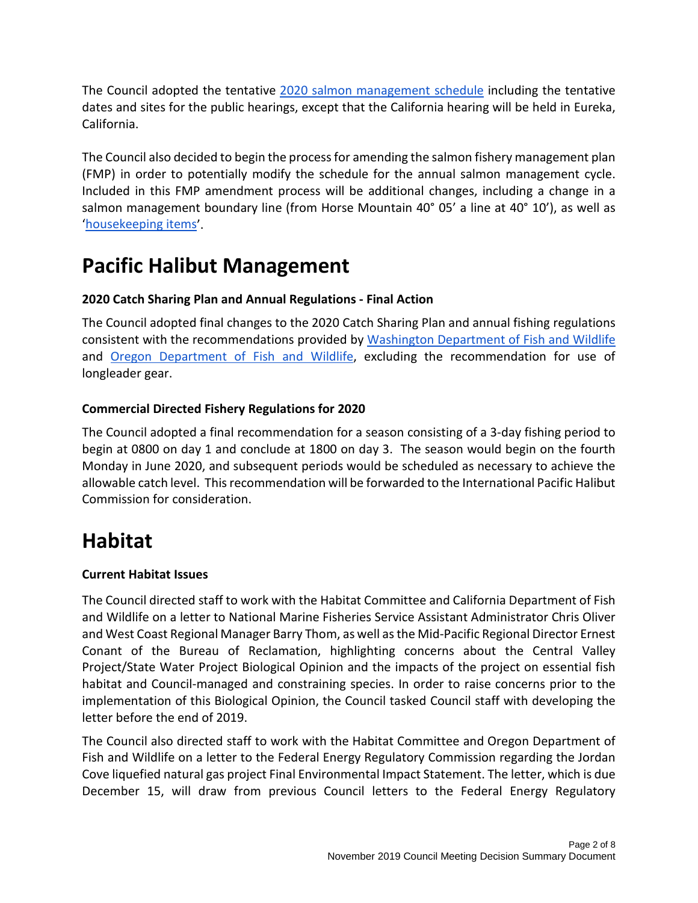The Council adopted the tentative 2020 salmon management schedule including the tentative dates and sites for the public hearings, except that the California hearing will be held in Eureka, California.

The Council also decided to begin the process for amending the salmon fishery management plan (FMP) in order to potentially modify the schedule for the annual salmon management cycle. Included in this FMP amendment process will be additional changes, including a change in a salmon management boundary line (from Horse Mountain 40° 05' a line at 40° 10'), as well as 'housekeeping items'.

## **Pacific Halibut Management**

### **2020 Catch Sharing Plan and Annual Regulations - Final Action**

The Council adopted final changes to the 2020 Catch Sharing Plan and annual fishing regulations consistent with the recommendations provided by Washington Department of Fish and Wildlife and Oregon Department of Fish and Wildlife, excluding the recommendation for use of longleader gear.

### **Commercial Directed Fishery Regulations for 2020**

The Council adopted a final recommendation for a season consisting of a 3-day fishing period to begin at 0800 on day 1 and conclude at 1800 on day 3. The season would begin on the fourth Monday in June 2020, and subsequent periods would be scheduled as necessary to achieve the allowable catch level. This recommendation will be forwarded to the International Pacific Halibut Commission for consideration.

### **Habitat**

### **Current Habitat Issues**

The Council directed staff to work with the Habitat Committee and California Department of Fish and Wildlife on a letter to National Marine Fisheries Service Assistant Administrator Chris Oliver and West Coast Regional Manager Barry Thom, as well as the Mid-Pacific Regional Director Ernest Conant of the Bureau of Reclamation, highlighting concerns about the Central Valley Project/State Water Project Biological Opinion and the impacts of the project on essential fish habitat and Council-managed and constraining species. In order to raise concerns prior to the implementation of this Biological Opinion, the Council tasked Council staff with developing the letter before the end of 2019.

The Council also directed staff to work with the Habitat Committee and Oregon Department of Fish and Wildlife on a letter to the Federal Energy Regulatory Commission regarding the Jordan Cove liquefied natural gas project Final Environmental Impact Statement. The letter, which is due December 15, will draw from previous Council letters to the Federal Energy Regulatory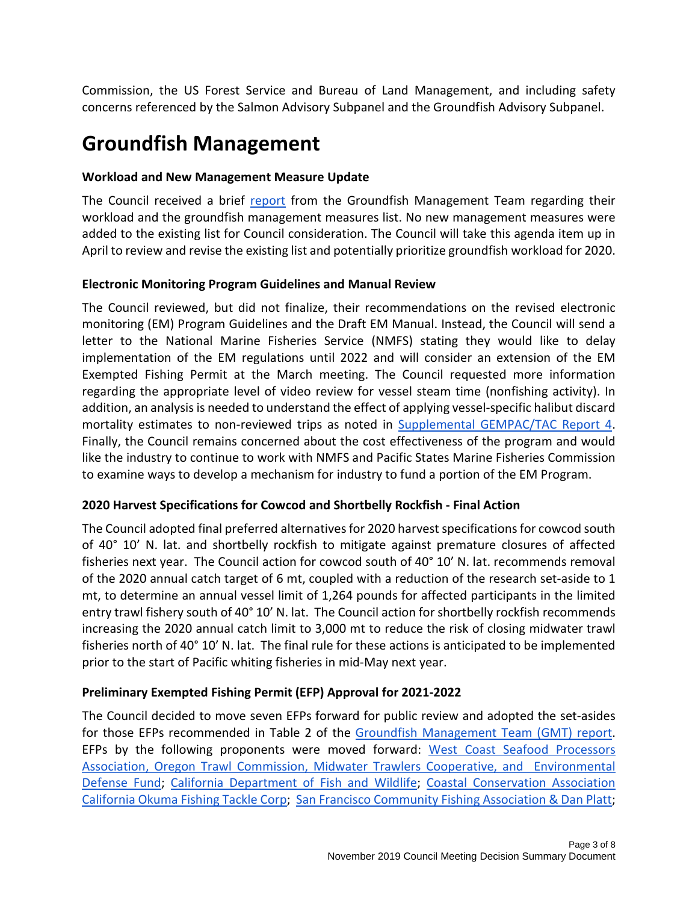Commission, the US Forest Service and Bureau of Land Management, and including safety concerns referenced by the Salmon Advisory Subpanel and the Groundfish Advisory Subpanel.

## **Groundfish Management**

### **Workload and New Management Measure Update**

The Council received a brief report from the Groundfish Management Team regarding their workload and the groundfish management measures list. No new management measures were added to the existing list for Council consideration. The Council will take this agenda item up in April to review and revise the existing list and potentially prioritize groundfish workload for 2020.

#### **Electronic Monitoring Program Guidelines and Manual Review**

The Council reviewed, but did not finalize, their recommendations on the revised electronic monitoring (EM) Program Guidelines and the Draft EM Manual. Instead, the Council will send a letter to the National Marine Fisheries Service (NMFS) stating they would like to delay implementation of the EM regulations until 2022 and will consider an extension of the EM Exempted Fishing Permit at the March meeting. The Council requested more information regarding the appropriate level of video review for vessel steam time (nonfishing activity). In addition, an analysis is needed to understand the effect of applying vessel-specific halibut discard mortality estimates to non-reviewed trips as noted in Supplemental GEMPAC/TAC Report 4. Finally, the Council remains concerned about the cost effectiveness of the program and would like the industry to continue to work with NMFS and Pacific States Marine Fisheries Commission to examine ways to develop a mechanism for industry to fund a portion of the EM Program.

### **2020 Harvest Specifications for Cowcod and Shortbelly Rockfish - Final Action**

The Council adopted final preferred alternatives for 2020 harvest specifications for cowcod south of 40° 10' N. lat. and shortbelly rockfish to mitigate against premature closures of affected fisheries next year. The Council action for cowcod south of 40° 10' N. lat. recommends removal of the 2020 annual catch target of 6 mt, coupled with a reduction of the research set-aside to 1 mt, to determine an annual vessel limit of 1,264 pounds for affected participants in the limited entry trawl fishery south of 40° 10' N. lat. The Council action for shortbelly rockfish recommends increasing the 2020 annual catch limit to 3,000 mt to reduce the risk of closing midwater trawl fisheries north of 40° 10' N. lat. The final rule for these actions is anticipated to be implemented prior to the start of Pacific whiting fisheries in mid-May next year.

### **Preliminary Exempted Fishing Permit (EFP) Approval for 2021-2022**

The Council decided to move seven EFPs forward for public review and adopted the set-asides for those EFPs recommended in Table 2 of the Groundfish Management Team (GMT) report. EFPs by the following proponents were moved forward: West Coast Seafood Processors Association, Oregon Trawl Commission, Midwater Trawlers Cooperative, and Environmental Defense Fund; California Department of Fish and Wildlife; Coastal Conservation Association California Okuma Fishing Tackle Corp; San Francisco Community Fishing Association & Dan Platt;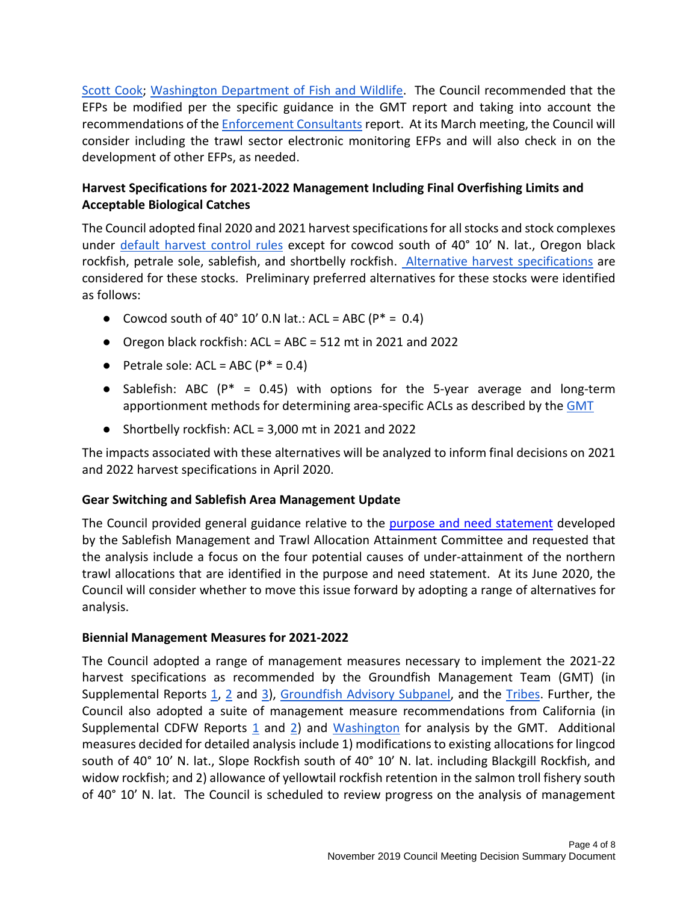Scott Cook; Washington Department of Fish and Wildlife. The Council recommended that the EFPs be modified per the specific guidance in the GMT report and taking into account the recommendations of the Enforcement Consultants report. At its March meeting, the Council will consider including the trawl sector electronic monitoring EFPs and will also check in on the development of other EFPs, as needed.

### **Harvest Specifications for 2021-2022 Management Including Final Overfishing Limits and Acceptable Biological Catches**

The Council adopted final 2020 and 2021 harvest specifications for all stocks and stock complexes under default harvest control rules except for cowcod south of 40° 10' N. lat., Oregon black rockfish, petrale sole, sablefish, and shortbelly rockfish. Alternative harvest specifications are considered for these stocks. Preliminary preferred alternatives for these stocks were identified as follows:

- Cowcod south of 40° 10' 0.N lat.: ACL = ABC ( $P^* = 0.4$ )
- $\bullet$  Oregon black rockfish: ACL = ABC = 512 mt in 2021 and 2022
- Petrale sole:  $ACL = ABC (P^* = 0.4)$
- Sablefish: ABC ( $P^* = 0.45$ ) with options for the 5-year average and long-term apportionment methods for determining area-specific ACLs as described by the GMT
- $\bullet$  Shortbelly rockfish: ACL = 3,000 mt in 2021 and 2022

The impacts associated with these alternatives will be analyzed to inform final decisions on 2021 and 2022 harvest specifications in April 2020.

### **Gear Switching and Sablefish Area Management Update**

The Council provided general guidance relative to the purpose and need statement developed by the Sablefish Management and Trawl Allocation Attainment Committee and requested that the analysis include a focus on the four potential causes of under-attainment of the northern trawl allocations that are identified in the purpose and need statement. At its June 2020, the Council will consider whether to move this issue forward by adopting a range of alternatives for analysis.

#### **Biennial Management Measures for 2021-2022**

The Council adopted a range of management measures necessary to implement the 2021-22 harvest specifications as recommended by the Groundfish Management Team (GMT) (in Supplemental Reports  $1, 2$  and  $3$ ), Groundfish Advisory Subpanel, and the Tribes. Further, the Council also adopted a suite of management measure recommendations from California (in Supplemental CDFW Reports  $1$  and  $2$ ) and Washington for analysis by the GMT. Additional measures decided for detailed analysis include 1) modifications to existing allocations for lingcod south of 40° 10' N. lat., Slope Rockfish south of 40° 10' N. lat. including Blackgill Rockfish, and widow rockfish; and 2) allowance of yellowtail rockfish retention in the salmon troll fishery south of 40° 10' N. lat. The Council is scheduled to review progress on the analysis of management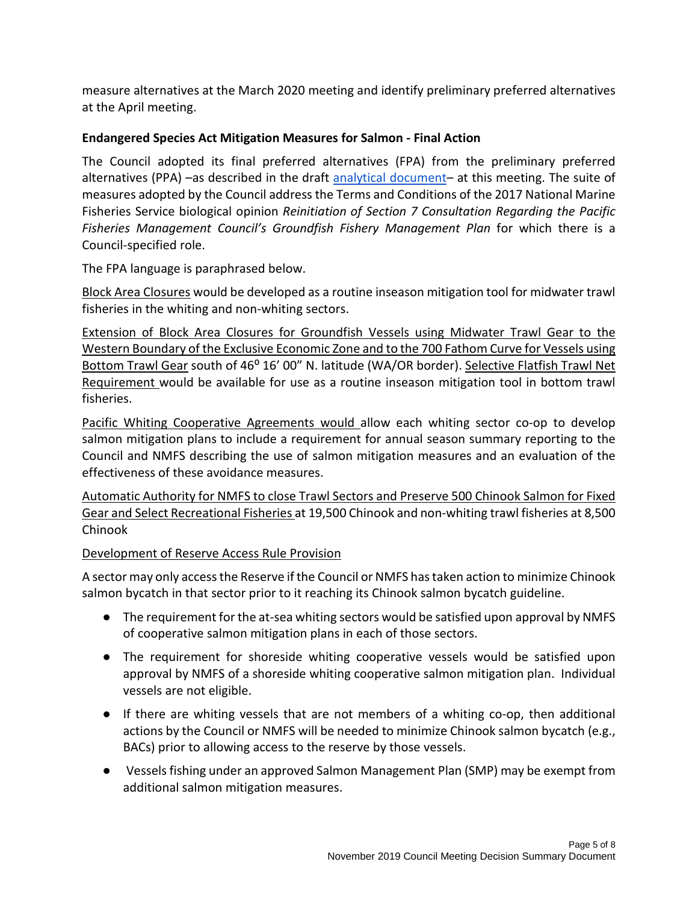measure alternatives at the March 2020 meeting and identify preliminary preferred alternatives at the April meeting.

### **Endangered Species Act Mitigation Measures for Salmon - Final Action**

The Council adopted its final preferred alternatives (FPA) from the preliminary preferred alternatives (PPA) –as described in the draft analytical document– at this meeting. The suite of measures adopted by the Council address the Terms and Conditions of the 2017 National Marine Fisheries Service biological opinion *Reinitiation of Section 7 Consultation Regarding the Pacific Fisheries Management Council's Groundfish Fishery Management Plan* for which there is a Council-specified role.

The FPA language is paraphrased below.

Block Area Closures would be developed as a routine inseason mitigation tool for midwater trawl fisheries in the whiting and non-whiting sectors.

Extension of Block Area Closures for Groundfish Vessels using Midwater Trawl Gear to the Western Boundary of the Exclusive Economic Zone and to the 700 Fathom Curve for Vessels using Bottom Trawl Gear south of 46° 16' 00" N. latitude (WA/OR border). Selective Flatfish Trawl Net Requirement would be available for use as a routine inseason mitigation tool in bottom trawl fisheries.

Pacific Whiting Cooperative Agreements would allow each whiting sector co-op to develop salmon mitigation plans to include a requirement for annual season summary reporting to the Council and NMFS describing the use of salmon mitigation measures and an evaluation of the effectiveness of these avoidance measures.

Automatic Authority for NMFS to close Trawl Sectors and Preserve 500 Chinook Salmon for Fixed Gear and Select Recreational Fisheries at 19,500 Chinook and non-whiting trawl fisheries at 8,500 Chinook

### Development of Reserve Access Rule Provision

A sector may only access the Reserve if the Council or NMFS has taken action to minimize Chinook salmon bycatch in that sector prior to it reaching its Chinook salmon bycatch guideline.

- The requirement for the at-sea whiting sectors would be satisfied upon approval by NMFS of cooperative salmon mitigation plans in each of those sectors.
- The requirement for shoreside whiting cooperative vessels would be satisfied upon approval by NMFS of a shoreside whiting cooperative salmon mitigation plan. Individual vessels are not eligible.
- If there are whiting vessels that are not members of a whiting co-op, then additional actions by the Council or NMFS will be needed to minimize Chinook salmon bycatch (e.g., BACs) prior to allowing access to the reserve by those vessels.
- Vessels fishing under an approved Salmon Management Plan (SMP) may be exempt from additional salmon mitigation measures.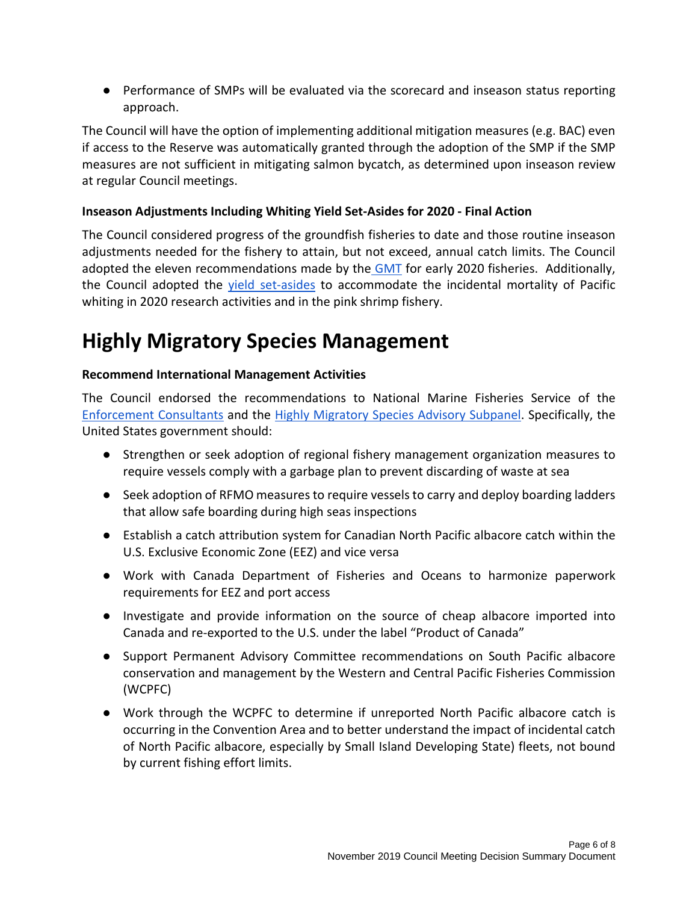● Performance of SMPs will be evaluated via the scorecard and inseason status reporting approach.

The Council will have the option of implementing additional mitigation measures (e.g. BAC) even if access to the Reserve was automatically granted through the adoption of the SMP if the SMP measures are not sufficient in mitigating salmon bycatch, as determined upon inseason review at regular Council meetings.

### **Inseason Adjustments Including Whiting Yield Set-Asides for 2020 - Final Action**

The Council considered progress of the groundfish fisheries to date and those routine inseason adjustments needed for the fishery to attain, but not exceed, annual catch limits. The Council adopted the eleven recommendations made by the GMT for early 2020 fisheries. Additionally, the Council adopted the yield set-asides to accommodate the incidental mortality of Pacific whiting in 2020 research activities and in the pink shrimp fishery.

## **Highly Migratory Species Management**

### **Recommend International Management Activities**

The Council endorsed the recommendations to National Marine Fisheries Service of the Enforcement Consultants and the Highly Migratory Species Advisory Subpanel. Specifically, the United States government should:

- Strengthen or seek adoption of regional fishery management organization measures to require vessels comply with a garbage plan to prevent discarding of waste at sea
- Seek adoption of RFMO measures to require vessels to carry and deploy boarding ladders that allow safe boarding during high seas inspections
- Establish a catch attribution system for Canadian North Pacific albacore catch within the U.S. Exclusive Economic Zone (EEZ) and vice versa
- Work with Canada Department of Fisheries and Oceans to harmonize paperwork requirements for EEZ and port access
- Investigate and provide information on the source of cheap albacore imported into Canada and re-exported to the U.S. under the label "Product of Canada"
- Support Permanent Advisory Committee recommendations on South Pacific albacore conservation and management by the Western and Central Pacific Fisheries Commission (WCPFC)
- Work through the WCPFC to determine if unreported North Pacific albacore catch is occurring in the Convention Area and to better understand the impact of incidental catch of North Pacific albacore, especially by Small Island Developing State) fleets, not bound by current fishing effort limits.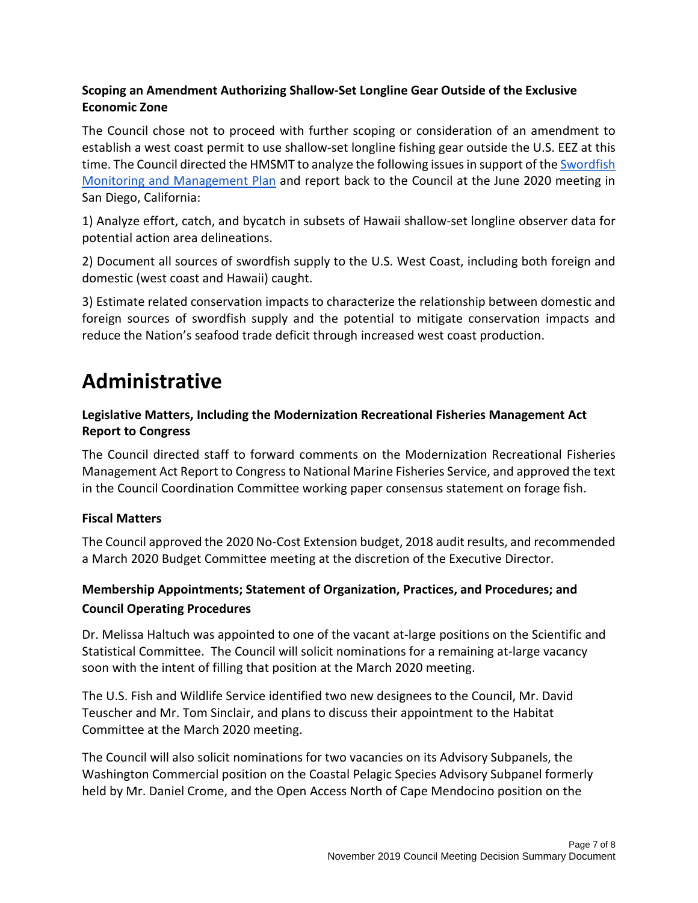### **Scoping an Amendment Authorizing Shallow-Set Longline Gear Outside of the Exclusive Economic Zone**

The Council chose not to proceed with further scoping or consideration of an amendment to establish a west coast permit to use shallow-set longline fishing gear outside the U.S. EEZ at this time. The Council directed the HMSMT to analyze the following issues in support of the Swordfish Monitoring and Management Plan and report back to the Council at the June 2020 meeting in San Diego, California:

1) Analyze effort, catch, and bycatch in subsets of Hawaii shallow-set longline observer data for potential action area delineations.

2) Document all sources of swordfish supply to the U.S. West Coast, including both foreign and domestic (west coast and Hawaii) caught.

3) Estimate related conservation impacts to characterize the relationship between domestic and foreign sources of swordfish supply and the potential to mitigate conservation impacts and reduce the Nation's seafood trade deficit through increased west coast production.

### **Administrative**

### **Legislative Matters, Including the Modernization Recreational Fisheries Management Act Report to Congress**

The Council directed staff to forward comments on the Modernization Recreational Fisheries Management Act Report to Congressto National Marine Fisheries Service, and approved the text in the Council Coordination Committee working paper consensus statement on forage fish.

### **Fiscal Matters**

The Council approved the 2020 No-Cost Extension budget, 2018 audit results, and recommended a March 2020 Budget Committee meeting at the discretion of the Executive Director.

### **Membership Appointments; Statement of Organization, Practices, and Procedures; and Council Operating Procedures**

Dr. Melissa Haltuch was appointed to one of the vacant at-large positions on the Scientific and Statistical Committee. The Council will solicit nominations for a remaining at-large vacancy soon with the intent of filling that position at the March 2020 meeting.

The U.S. Fish and Wildlife Service identified two new designees to the Council, Mr. David Teuscher and Mr. Tom Sinclair, and plans to discuss their appointment to the Habitat Committee at the March 2020 meeting.

The Council will also solicit nominations for two vacancies on its Advisory Subpanels, the Washington Commercial position on the Coastal Pelagic Species Advisory Subpanel formerly held by Mr. Daniel Crome, and the Open Access North of Cape Mendocino position on the